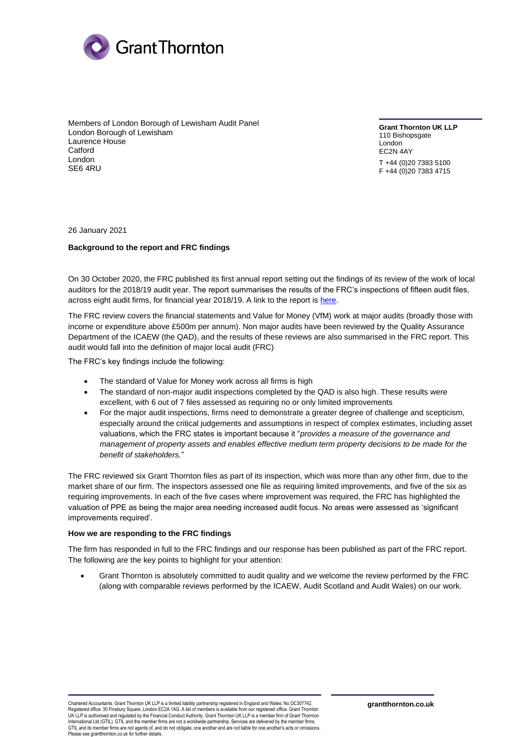

Members of London Borough of Lewisham Audit Panel London Borough of Lewisham Laurence House **Catford** London SE6 4RU

**Grant Thornton UK LLP** 110 Bishopsgate London EC2N 4AY T +44 (0)20 7383 5100 F +44 (0)20 7383 4715

26 January 2021

## **Background to the report and FRC findings**

On 30 October 2020, the FRC published its first annual report setting out the findings of its review of the work of local auditors for the 2018/19 audit year. The report summarises the results of the FRC's inspections of fifteen audit files, across eight audit firms, for financial year 2018/19. A link to the report is [here.](https://www.frc.org.uk/news/october-2020/frc-publishes-major-local-audit-inspection-results)

The FRC review covers the financial statements and Value for Money (VfM) work at major audits (broadly those with income or expenditure above £500m per annum). Non major audits have been reviewed by the Quality Assurance Department of the ICAEW (the QAD), and the results of these reviews are also summarised in the FRC report. This audit would fall into the definition of major local audit (FRC)

The FRC's key findings include the following:

- The standard of Value for Money work across all firms is high
- The standard of non-major audit inspections completed by the QAD is also high. These results were excellent, with 6 out of 7 files assessed as requiring no or only limited improvements
- For the major audit inspections, firms need to demonstrate a greater degree of challenge and scepticism, especially around the critical judgements and assumptions in respect of complex estimates, including asset valuations, which the FRC states is important because it "*provides a measure of the governance and management of property assets and enables effective medium term property decisions to be made for the benefit of stakeholders.*"

The FRC reviewed six Grant Thornton files as part of its inspection, which was more than any other firm, due to the market share of our firm. The inspectors assessed one file as requiring limited improvements, and five of the six as requiring improvements. In each of the five cases where improvement was required, the FRC has highlighted the valuation of PPE as being the major area needing increased audit focus. No areas were assessed as 'significant improvements required'.

## **How we are responding to the FRC findings**

The firm has responded in full to the FRC findings and our response has been published as part of the FRC report. The following are the key points to highlight for your attention:

• Grant Thornton is absolutely committed to audit quality and we welcome the review performed by the FRC (along with comparable reviews performed by the ICAEW, Audit Scotland and Audit Wales) on our work.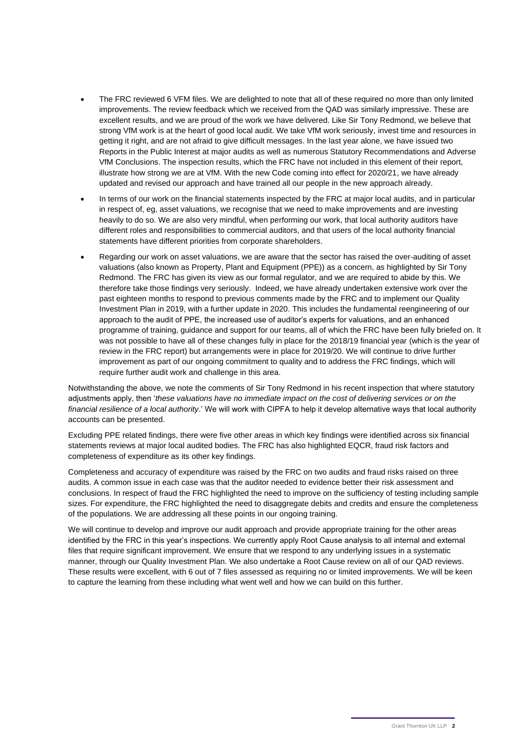- The FRC reviewed 6 VFM files. We are delighted to note that all of these required no more than only limited improvements. The review feedback which we received from the QAD was similarly impressive. These are excellent results, and we are proud of the work we have delivered. Like Sir Tony Redmond, we believe that strong VfM work is at the heart of good local audit. We take VfM work seriously, invest time and resources in getting it right, and are not afraid to give difficult messages. In the last year alone, we have issued two Reports in the Public Interest at major audits as well as numerous Statutory Recommendations and Adverse VfM Conclusions. The inspection results, which the FRC have not included in this element of their report, illustrate how strong we are at VfM. With the new Code coming into effect for 2020/21, we have already updated and revised our approach and have trained all our people in the new approach already.
- In terms of our work on the financial statements inspected by the FRC at major local audits, and in particular in respect of, eg, asset valuations, we recognise that we need to make improvements and are investing heavily to do so. We are also very mindful, when performing our work, that local authority auditors have different roles and responsibilities to commercial auditors, and that users of the local authority financial statements have different priorities from corporate shareholders.
- Regarding our work on asset valuations, we are aware that the sector has raised the over-auditing of asset valuations (also known as Property, Plant and Equipment (PPE)) as a concern, as highlighted by Sir Tony Redmond. The FRC has given its view as our formal regulator, and we are required to abide by this. We therefore take those findings very seriously. Indeed, we have already undertaken extensive work over the past eighteen months to respond to previous comments made by the FRC and to implement our Quality Investment Plan in 2019, with a further update in 2020. This includes the fundamental reengineering of our approach to the audit of PPE, the increased use of auditor's experts for valuations, and an enhanced programme of training, guidance and support for our teams, all of which the FRC have been fully briefed on. It was not possible to have all of these changes fully in place for the 2018/19 financial year (which is the year of review in the FRC report) but arrangements were in place for 2019/20. We will continue to drive further improvement as part of our ongoing commitment to quality and to address the FRC findings, which will require further audit work and challenge in this area.

Notwithstanding the above, we note the comments of Sir Tony Redmond in his recent inspection that where statutory adjustments apply, then '*these valuations have no immediate impact on the cost of delivering services or on the financial resilience of a local authority*.' We will work with CIPFA to help it develop alternative ways that local authority accounts can be presented.

Excluding PPE related findings, there were five other areas in which key findings were identified across six financial statements reviews at major local audited bodies. The FRC has also highlighted EQCR, fraud risk factors and completeness of expenditure as its other key findings.

Completeness and accuracy of expenditure was raised by the FRC on two audits and fraud risks raised on three audits. A common issue in each case was that the auditor needed to evidence better their risk assessment and conclusions. In respect of fraud the FRC highlighted the need to improve on the sufficiency of testing including sample sizes. For expenditure, the FRC highlighted the need to disaggregate debits and credits and ensure the completeness of the populations. We are addressing all these points in our ongoing training.

We will continue to develop and improve our audit approach and provide appropriate training for the other areas identified by the FRC in this year's inspections. We currently apply Root Cause analysis to all internal and external files that require significant improvement. We ensure that we respond to any underlying issues in a systematic manner, through our Quality Investment Plan. We also undertake a Root Cause review on all of our QAD reviews. These results were excellent, with 6 out of 7 files assessed as requiring no or limited improvements. We will be keen to capture the learning from these including what went well and how we can build on this further.